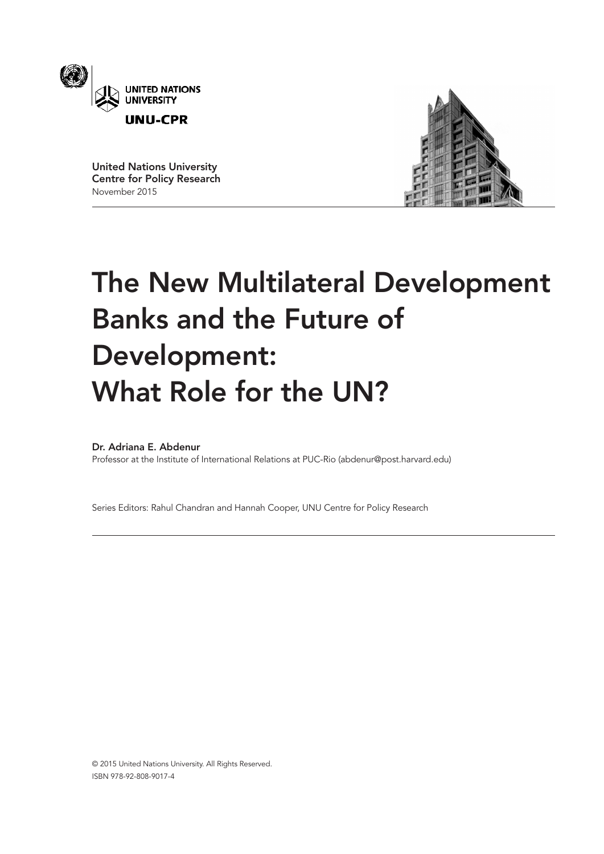

United Nations University Centre for Policy Research November 2015



# The New Multilateral Development Banks and the Future of Development: What Role for the UN?

# Dr. Adriana E. Abdenur

Professor at the Institute of International Relations at PUC-Rio (abdenur@post.harvard.edu)

Series Editors: Rahul Chandran and Hannah Cooper, UNU Centre for Policy Research

© 2015 United Nations University. All Rights Reserved. ISBN 978-92-808-9017-4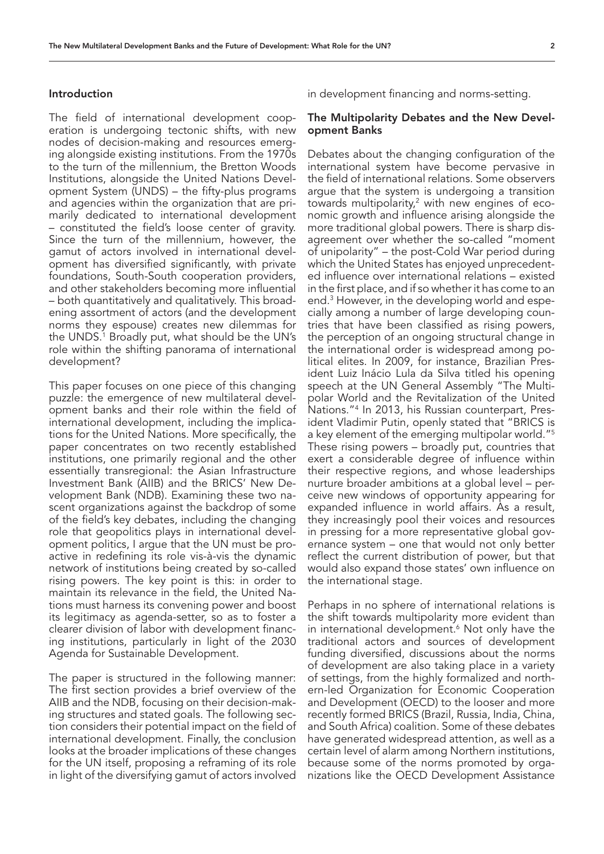#### Introduction

The field of international development cooperation is undergoing tectonic shifts, with new nodes of decision-making and resources emerging alongside existing institutions. From the 1970s to the turn of the millennium, the Bretton Woods Institutions, alongside the United Nations Development System (UNDS) – the fifty-plus programs and agencies within the organization that are primarily dedicated to international development – constituted the field's loose center of gravity. Since the turn of the millennium, however, the gamut of actors involved in international development has diversified significantly, with private foundations, South-South cooperation providers, and other stakeholders becoming more influential – both quantitatively and qualitatively. This broadening assortment of actors (and the development norms they espouse) creates new dilemmas for the UNDS.1 Broadly put, what should be the UN's role within the shifting panorama of international development?

This paper focuses on one piece of this changing puzzle: the emergence of new multilateral development banks and their role within the field of international development, including the implications for the United Nations. More specifically, the paper concentrates on two recently established institutions, one primarily regional and the other essentially transregional: the Asian Infrastructure Investment Bank (AIIB) and the BRICS' New Development Bank (NDB). Examining these two nascent organizations against the backdrop of some of the field's key debates, including the changing role that geopolitics plays in international development politics, I argue that the UN must be proactive in redefining its role vis-à-vis the dynamic network of institutions being created by so-called rising powers. The key point is this: in order to maintain its relevance in the field, the United Nations must harness its convening power and boost its legitimacy as agenda-setter, so as to foster a clearer division of labor with development financing institutions, particularly in light of the 2030 Agenda for Sustainable Development.

The paper is structured in the following manner: The first section provides a brief overview of the AIIB and the NDB, focusing on their decision-making structures and stated goals. The following section considers their potential impact on the field of international development. Finally, the conclusion looks at the broader implications of these changes for the UN itself, proposing a reframing of its role in light of the diversifying gamut of actors involved in development financing and norms-setting.

## The Multipolarity Debates and the New Development Banks

Debates about the changing configuration of the international system have become pervasive in the field of international relations. Some observers argue that the system is undergoing a transition towards multipolarity, $^2$  with new engines of economic growth and influence arising alongside the more traditional global powers. There is sharp disagreement over whether the so-called "moment of unipolarity" – the post-Cold War period during which the United States has enjoyed unprecedented influence over international relations – existed in the first place, and if so whether it has come to an end.3 However, in the developing world and especially among a number of large developing countries that have been classified as rising powers, the perception of an ongoing structural change in the international order is widespread among political elites. In 2009, for instance, Brazilian President Luiz Inácio Lula da Silva titled his opening speech at the UN General Assembly "The Multipolar World and the Revitalization of the United Nations."4 In 2013, his Russian counterpart, President Vladimir Putin, openly stated that "BRICS is a key element of the emerging multipolar world."5 These rising powers – broadly put, countries that exert a considerable degree of influence within their respective regions, and whose leaderships nurture broader ambitions at a global level – perceive new windows of opportunity appearing for expanded influence in world affairs. As a result, they increasingly pool their voices and resources in pressing for a more representative global governance system – one that would not only better reflect the current distribution of power, but that would also expand those states' own influence on the international stage.

Perhaps in no sphere of international relations is the shift towards multipolarity more evident than in international development.<sup>6</sup> Not only have the traditional actors and sources of development funding diversified, discussions about the norms of development are also taking place in a variety of settings, from the highly formalized and northern-led Organization for Economic Cooperation and Development (OECD) to the looser and more recently formed BRICS (Brazil, Russia, India, China, and South Africa) coalition. Some of these debates have generated widespread attention, as well as a certain level of alarm among Northern institutions, because some of the norms promoted by organizations like the OECD Development Assistance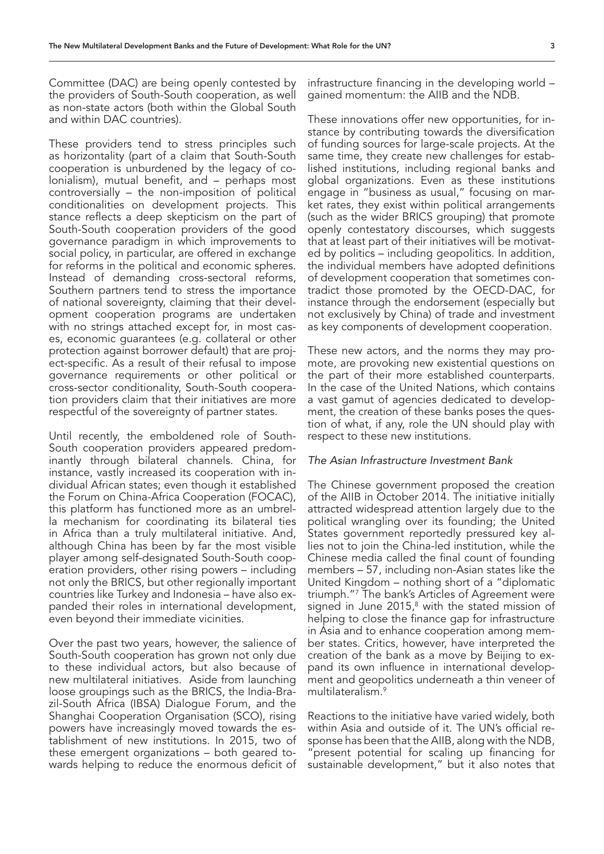Committee (DAC) are being openly contested by the providers of South-South cooperation, as well as non-state actors (both within the Global South and within DAC countries).

These providers tend to stress principles such as horizontality (part of a claim that South-South cooperation is unburdened by the legacy of colonialism), mutual benefit, and – perhaps most controversially – the non-imposition of political conditionalities on development projects. This stance reflects a deep skepticism on the part of South-South cooperation providers of the good governance paradigm in which improvements to social policy, in particular, are offered in exchange for reforms in the political and economic spheres. Instead of demanding cross-sectoral reforms, Southern partners tend to stress the importance of national sovereignty, claiming that their development cooperation programs are undertaken with no strings attached except for, in most cases, economic guarantees (e.g. collateral or other protection against borrower default) that are project-specific. As a result of their refusal to impose governance requirements or other political or cross-sector conditionality, South-South cooperation providers claim that their initiatives are more respectful of the sovereignty of partner states.

Until recently, the emboldened role of South-South cooperation providers appeared predominantly through bilateral channels. China, for instance, vastly increased its cooperation with individual African states; even though it established the Forum on China-Africa Cooperation (FOCAC), this platform has functioned more as an umbrella mechanism for coordinating its bilateral ties in Africa than a truly multilateral initiative. And, although China has been by far the most visible player among self-designated South-South cooperation providers, other rising powers – including not only the BRICS, but other regionally important countries like Turkey and Indonesia – have also expanded their roles in international development, even beyond their immediate vicinities.

Over the past two years, however, the salience of South-South cooperation has grown not only due to these individual actors, but also because of new multilateral initiatives. Aside from launching loose groupings such as the BRICS, the India-Brazil-South Africa (IBSA) Dialogue Forum, and the Shanghai Cooperation Organisation (SCO), rising powers have increasingly moved towards the establishment of new institutions. In 2015, two of these emergent organizations – both geared towards helping to reduce the enormous deficit of

infrastructure financing in the developing world – gained momentum: the AIIB and the NDB.

These innovations offer new opportunities, for instance by contributing towards the diversification of funding sources for large-scale projects. At the same time, they create new challenges for established institutions, including regional banks and global organizations. Even as these institutions engage in "business as usual," focusing on market rates, they exist within political arrangements (such as the wider BRICS grouping) that promote openly contestatory discourses, which suggests that at least part of their initiatives will be motivated by politics – including geopolitics. In addition, the individual members have adopted definitions of development cooperation that sometimes contradict those promoted by the OECD-DAC, for instance through the endorsement (especially but not exclusively by China) of trade and investment as key components of development cooperation.

These new actors, and the norms they may promote, are provoking new existential questions on the part of their more established counterparts. In the case of the United Nations, which contains a vast gamut of agencies dedicated to development, the creation of these banks poses the question of what, if any, role the UN should play with respect to these new institutions.

#### *The Asian Infrastructure Investment Bank*

The Chinese government proposed the creation of the AIIB in October 2014. The initiative initially attracted widespread attention largely due to the political wrangling over its founding; the United States government reportedly pressured key allies not to join the China-led institution, while the Chinese media called the final count of founding members – 57, including non-Asian states like the United Kingdom – nothing short of a "diplomatic triumph."7 The bank's Articles of Agreement were signed in June  $2015$ ,<sup>8</sup> with the stated mission of helping to close the finance gap for infrastructure in Asia and to enhance cooperation among member states. Critics, however, have interpreted the creation of the bank as a move by Beijing to expand its own influence in international development and geopolitics underneath a thin veneer of multilateralism.<sup>9</sup>

Reactions to the initiative have varied widely, both within Asia and outside of it. The UN's official response has been that the AIIB, along with the NDB, present potential for scaling up financing for sustainable development," but it also notes that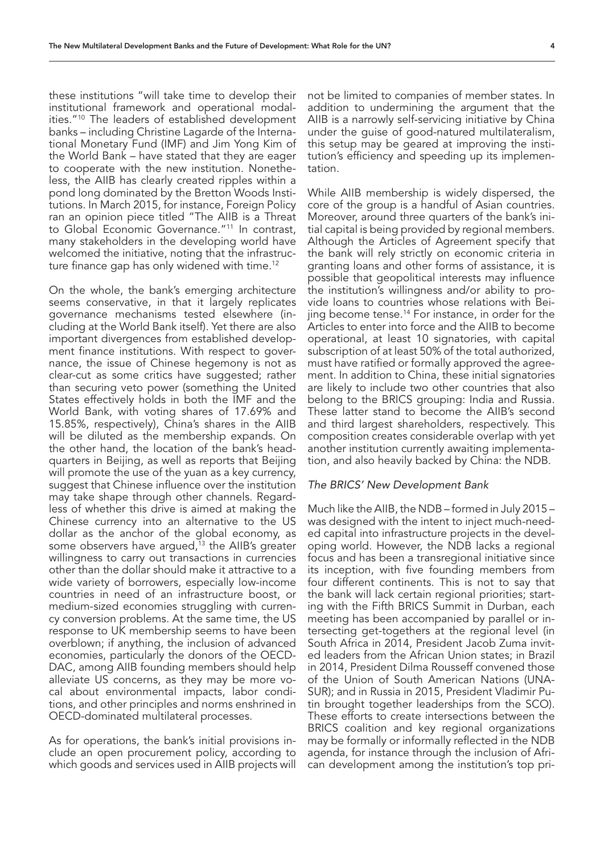these institutions "will take time to develop their institutional framework and operational modalities."10 The leaders of established development banks – including Christine Lagarde of the International Monetary Fund (IMF) and Jim Yong Kim of the World Bank – have stated that they are eager to cooperate with the new institution. Nonetheless, the AIIB has clearly created ripples within a pond long dominated by the Bretton Woods Institutions. In March 2015, for instance, Foreign Policy ran an opinion piece titled "The AIIB is a Threat to Global Economic Governance."11 In contrast, many stakeholders in the developing world have welcomed the initiative, noting that the infrastructure finance gap has only widened with time.12

On the whole, the bank's emerging architecture seems conservative, in that it largely replicates governance mechanisms tested elsewhere (including at the World Bank itself). Yet there are also important divergences from established development finance institutions. With respect to governance, the issue of Chinese hegemony is not as clear-cut as some critics have suggested; rather than securing veto power (something the United States effectively holds in both the IMF and the World Bank, with voting shares of 17.69% and 15.85%, respectively), China's shares in the AIIB will be diluted as the membership expands. On the other hand, the location of the bank's headquarters in Beijing, as well as reports that Beijing will promote the use of the yuan as a key currency, suggest that Chinese influence over the institution may take shape through other channels. Regardless of whether this drive is aimed at making the Chinese currency into an alternative to the US dollar as the anchor of the global economy, as some observers have argued,<sup>13</sup> the AIIB's greater willingness to carry out transactions in currencies other than the dollar should make it attractive to a wide variety of borrowers, especially low-income countries in need of an infrastructure boost, or medium-sized economies struggling with currency conversion problems. At the same time, the US response to UK membership seems to have been overblown; if anything, the inclusion of advanced economies, particularly the donors of the OECD-DAC, among AIIB founding members should help alleviate US concerns, as they may be more vocal about environmental impacts, labor conditions, and other principles and norms enshrined in OECD-dominated multilateral processes.

As for operations, the bank's initial provisions include an open procurement policy, according to which goods and services used in AIIB projects will not be limited to companies of member states. In addition to undermining the argument that the AIIB is a narrowly self-servicing initiative by China under the guise of good-natured multilateralism, this setup may be geared at improving the institution's efficiency and speeding up its implementation.

While AIIB membership is widely dispersed, the core of the group is a handful of Asian countries. Moreover, around three quarters of the bank's initial capital is being provided by regional members. Although the Articles of Agreement specify that the bank will rely strictly on economic criteria in granting loans and other forms of assistance, it is possible that geopolitical interests may influence the institution's willingness and/or ability to provide loans to countries whose relations with Beijing become tense.14 For instance, in order for the Articles to enter into force and the AIIB to become operational, at least 10 signatories, with capital subscription of at least 50% of the total authorized, must have ratified or formally approved the agreement. In addition to China, these initial signatories are likely to include two other countries that also belong to the BRICS grouping: India and Russia. These latter stand to become the AIIB's second and third largest shareholders, respectively. This composition creates considerable overlap with yet another institution currently awaiting implementation, and also heavily backed by China: the NDB.

## *The BRICS' New Development Bank*

Much like the AIIB, the NDB – formed in July 2015 – was designed with the intent to inject much-needed capital into infrastructure projects in the developing world. However, the NDB lacks a regional focus and has been a transregional initiative since its inception, with five founding members from four different continents. This is not to say that the bank will lack certain regional priorities; starting with the Fifth BRICS Summit in Durban, each meeting has been accompanied by parallel or intersecting get-togethers at the regional level (in South Africa in 2014, President Jacob Zuma invited leaders from the African Union states; in Brazil in 2014, President Dilma Rousseff convened those of the Union of South American Nations (UNA-SUR); and in Russia in 2015, President Vladimir Putin brought together leaderships from the SCO). These efforts to create intersections between the BRICS coalition and key regional organizations may be formally or informally reflected in the NDB agenda, for instance through the inclusion of African development among the institution's top pri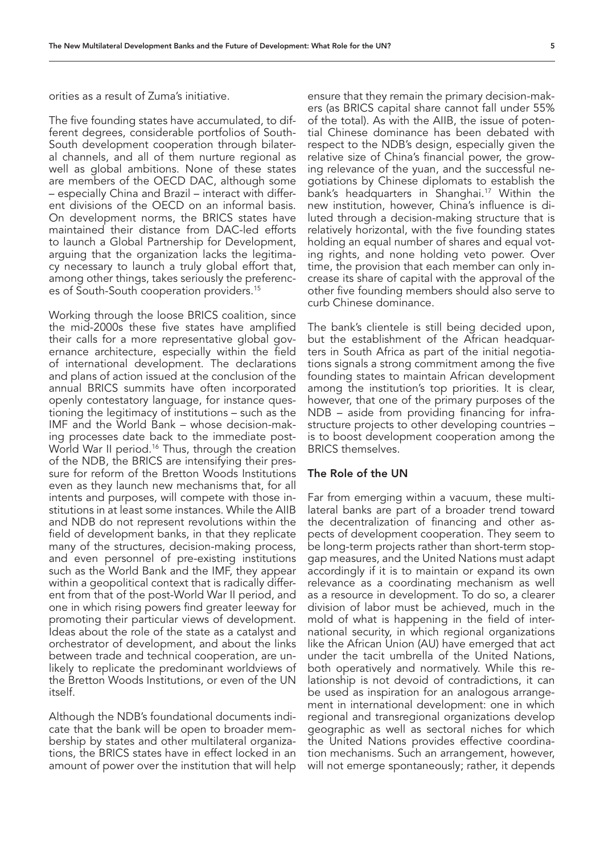orities as a result of Zuma's initiative.

The five founding states have accumulated, to different degrees, considerable portfolios of South-South development cooperation through bilateral channels, and all of them nurture regional as well as global ambitions. None of these states are members of the OECD DAC, although some – especially China and Brazil – interact with different divisions of the OECD on an informal basis. On development norms, the BRICS states have maintained their distance from DAC-led efforts to launch a Global Partnership for Development, arguing that the organization lacks the legitimacy necessary to launch a truly global effort that, among other things, takes seriously the preferences of South-South cooperation providers.<sup>15</sup>

Working through the loose BRICS coalition, since the mid-2000s these five states have amplified their calls for a more representative global governance architecture, especially within the field of international development. The declarations and plans of action issued at the conclusion of the annual BRICS summits have often incorporated openly contestatory language, for instance questioning the legitimacy of institutions – such as the IMF and the World Bank – whose decision-making processes date back to the immediate post-World War II period.<sup>16</sup> Thus, through the creation of the NDB, the BRICS are intensifying their pressure for reform of the Bretton Woods Institutions even as they launch new mechanisms that, for all intents and purposes, will compete with those institutions in at least some instances. While the AIIB and NDB do not represent revolutions within the field of development banks, in that they replicate many of the structures, decision-making process, and even personnel of pre-existing institutions such as the World Bank and the IMF, they appear within a geopolitical context that is radically different from that of the post-World War II period, and one in which rising powers find greater leeway for promoting their particular views of development. Ideas about the role of the state as a catalyst and orchestrator of development, and about the links between trade and technical cooperation, are unlikely to replicate the predominant worldviews of the Bretton Woods Institutions, or even of the UN itself.

Although the NDB's foundational documents indicate that the bank will be open to broader membership by states and other multilateral organizations, the BRICS states have in effect locked in an amount of power over the institution that will help

ensure that they remain the primary decision-makers (as BRICS capital share cannot fall under 55% of the total). As with the AIIB, the issue of potential Chinese dominance has been debated with respect to the NDB's design, especially given the relative size of China's financial power, the growing relevance of the yuan, and the successful negotiations by Chinese diplomats to establish the bank's headquarters in Shanghai.<sup>17</sup> Within the new institution, however, China's influence is diluted through a decision-making structure that is relatively horizontal, with the five founding states holding an equal number of shares and equal voting rights, and none holding veto power. Over time, the provision that each member can only increase its share of capital with the approval of the other five founding members should also serve to curb Chinese dominance.

The bank's clientele is still being decided upon, but the establishment of the African headquarters in South Africa as part of the initial negotiations signals a strong commitment among the five founding states to maintain African development among the institution's top priorities. It is clear, however, that one of the primary purposes of the NDB – aside from providing financing for infrastructure projects to other developing countries – is to boost development cooperation among the BRICS themselves.

## The Role of the UN

Far from emerging within a vacuum, these multilateral banks are part of a broader trend toward the decentralization of financing and other aspects of development cooperation. They seem to be long-term projects rather than short-term stopgap measures, and the United Nations must adapt accordingly if it is to maintain or expand its own relevance as a coordinating mechanism as well as a resource in development. To do so, a clearer division of labor must be achieved, much in the mold of what is happening in the field of international security, in which regional organizations like the African Union (AU) have emerged that act under the tacit umbrella of the United Nations, both operatively and normatively. While this relationship is not devoid of contradictions, it can be used as inspiration for an analogous arrangement in international development: one in which regional and transregional organizations develop geographic as well as sectoral niches for which the United Nations provides effective coordination mechanisms. Such an arrangement, however, will not emerge spontaneously; rather, it depends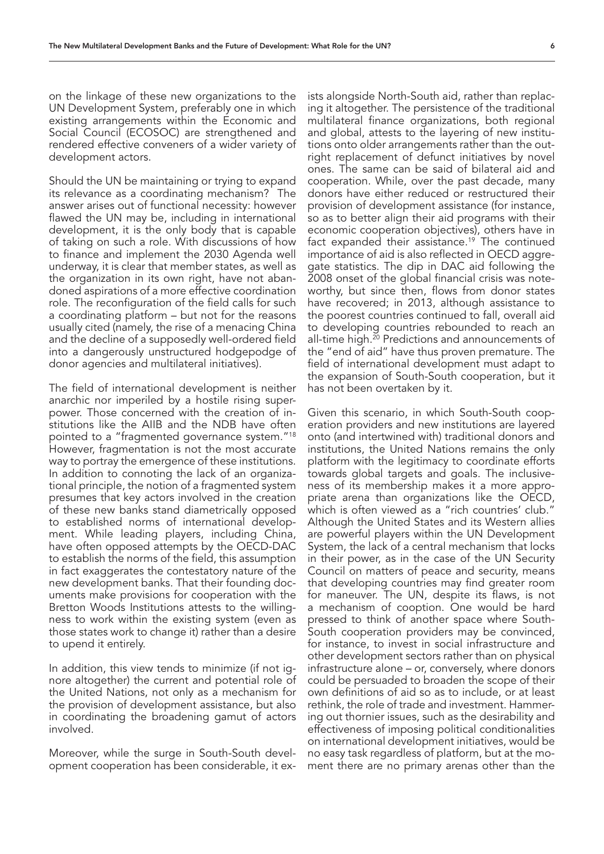on the linkage of these new organizations to the UN Development System, preferably one in which existing arrangements within the Economic and Social Council (ECOSOC) are strengthened and rendered effective conveners of a wider variety of development actors.

Should the UN be maintaining or trying to expand its relevance as a coordinating mechanism? The answer arises out of functional necessity: however flawed the UN may be, including in international development, it is the only body that is capable of taking on such a role. With discussions of how to finance and implement the 2030 Agenda well underway, it is clear that member states, as well as the organization in its own right, have not abandoned aspirations of a more effective coordination role. The reconfiguration of the field calls for such a coordinating platform – but not for the reasons usually cited (namely, the rise of a menacing China and the decline of a supposedly well-ordered field into a dangerously unstructured hodgepodge of donor agencies and multilateral initiatives).

The field of international development is neither anarchic nor imperiled by a hostile rising superpower. Those concerned with the creation of institutions like the AIIB and the NDB have often pointed to a "fragmented governance system."18 However, fragmentation is not the most accurate way to portray the emergence of these institutions. In addition to connoting the lack of an organizational principle, the notion of a fragmented system presumes that key actors involved in the creation of these new banks stand diametrically opposed to established norms of international development. While leading players, including China, have often opposed attempts by the OECD-DAC to establish the norms of the field, this assumption in fact exaggerates the contestatory nature of the new development banks. That their founding documents make provisions for cooperation with the Bretton Woods Institutions attests to the willingness to work within the existing system (even as those states work to change it) rather than a desire to upend it entirely.

In addition, this view tends to minimize (if not ignore altogether) the current and potential role of the United Nations, not only as a mechanism for the provision of development assistance, but also in coordinating the broadening gamut of actors involved.

Moreover, while the surge in South-South development cooperation has been considerable, it exists alongside North-South aid, rather than replacing it altogether. The persistence of the traditional multilateral finance organizations, both regional and global, attests to the layering of new institutions onto older arrangements rather than the outright replacement of defunct initiatives by novel ones. The same can be said of bilateral aid and cooperation. While, over the past decade, many donors have either reduced or restructured their provision of development assistance (for instance, so as to better align their aid programs with their economic cooperation objectives), others have in fact expanded their assistance.<sup>19</sup> The continued importance of aid is also reflected in OECD aggregate statistics. The dip in DAC aid following the 2008 onset of the global financial crisis was noteworthy, but since then, flows from donor states have recovered; in 2013, although assistance to the poorest countries continued to fall, overall aid to developing countries rebounded to reach an all-time high. $^{20}$  Predictions and announcements of the "end of aid" have thus proven premature. The field of international development must adapt to the expansion of South-South cooperation, but it has not been overtaken by it.

Given this scenario, in which South-South cooperation providers and new institutions are layered onto (and intertwined with) traditional donors and institutions, the United Nations remains the only platform with the legitimacy to coordinate efforts towards global targets and goals. The inclusiveness of its membership makes it a more appropriate arena than organizations like the OECD, which is often viewed as a "rich countries' club." Although the United States and its Western allies are powerful players within the UN Development System, the lack of a central mechanism that locks in their power, as in the case of the UN Security Council on matters of peace and security, means that developing countries may find greater room for maneuver. The UN, despite its flaws, is not a mechanism of cooption. One would be hard pressed to think of another space where South-South cooperation providers may be convinced, for instance, to invest in social infrastructure and other development sectors rather than on physical infrastructure alone – or, conversely, where donors could be persuaded to broaden the scope of their own definitions of aid so as to include, or at least rethink, the role of trade and investment. Hammering out thornier issues, such as the desirability and effectiveness of imposing political conditionalities on international development initiatives, would be no easy task regardless of platform, but at the moment there are no primary arenas other than the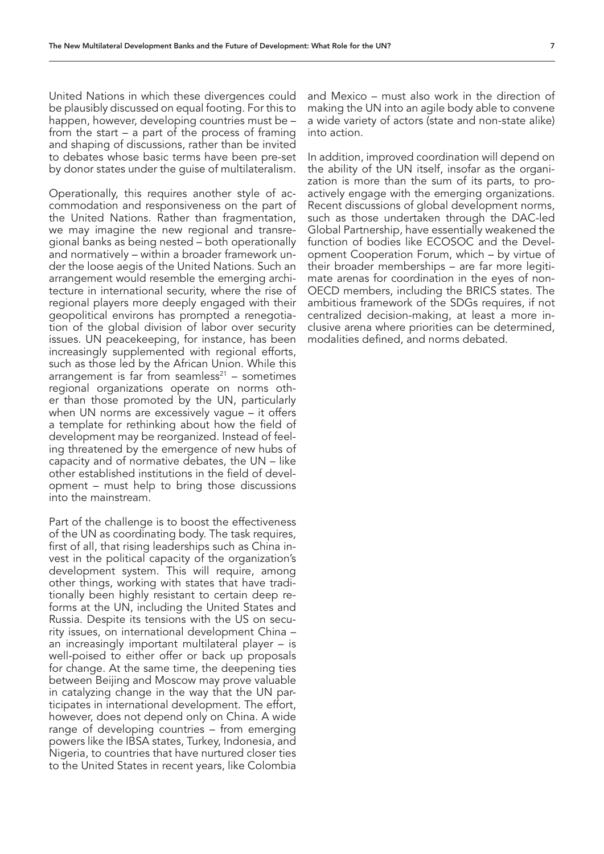United Nations in which these divergences could be plausibly discussed on equal footing. For this to happen, however, developing countries must be – from the start – a part of the process of framing and shaping of discussions, rather than be invited to debates whose basic terms have been pre-set by donor states under the guise of multilateralism.

Operationally, this requires another style of accommodation and responsiveness on the part of the United Nations. Rather than fragmentation, we may imagine the new regional and transregional banks as being nested – both operationally and normatively – within a broader framework under the loose aegis of the United Nations. Such an arrangement would resemble the emerging architecture in international security, where the rise of regional players more deeply engaged with their geopolitical environs has prompted a renegotiation of the global division of labor over security issues. UN peacekeeping, for instance, has been increasingly supplemented with regional efforts, such as those led by the African Union. While this arrangement is far from seamless $21 -$  sometimes regional organizations operate on norms other than those promoted by the UN, particularly when UN norms are excessively vague – it offers a template for rethinking about how the field of development may be reorganized. Instead of feeling threatened by the emergence of new hubs of capacity and of normative debates, the UN – like other established institutions in the field of development – must help to bring those discussions into the mainstream.

Part of the challenge is to boost the effectiveness of the UN as coordinating body. The task requires, first of all, that rising leaderships such as China invest in the political capacity of the organization's development system. This will require, among other things, working with states that have traditionally been highly resistant to certain deep reforms at the UN, including the United States and Russia. Despite its tensions with the US on security issues, on international development China – an increasingly important multilateral player – is well-poised to either offer or back up proposals for change. At the same time, the deepening ties between Beijing and Moscow may prove valuable in catalyzing change in the way that the UN participates in international development. The effort, however, does not depend only on China. A wide range of developing countries – from emerging powers like the IBSA states, Turkey, Indonesia, and Nigeria, to countries that have nurtured closer ties to the United States in recent years, like Colombia

and Mexico – must also work in the direction of making the UN into an agile body able to convene a wide variety of actors (state and non-state alike) into action.

In addition, improved coordination will depend on the ability of the UN itself, insofar as the organization is more than the sum of its parts, to proactively engage with the emerging organizations. Recent discussions of global development norms, such as those undertaken through the DAC-led Global Partnership, have essentially weakened the function of bodies like ECOSOC and the Development Cooperation Forum, which – by virtue of their broader memberships – are far more legitimate arenas for coordination in the eyes of non-OECD members, including the BRICS states. The ambitious framework of the SDGs requires, if not centralized decision-making, at least a more inclusive arena where priorities can be determined, modalities defined, and norms debated.